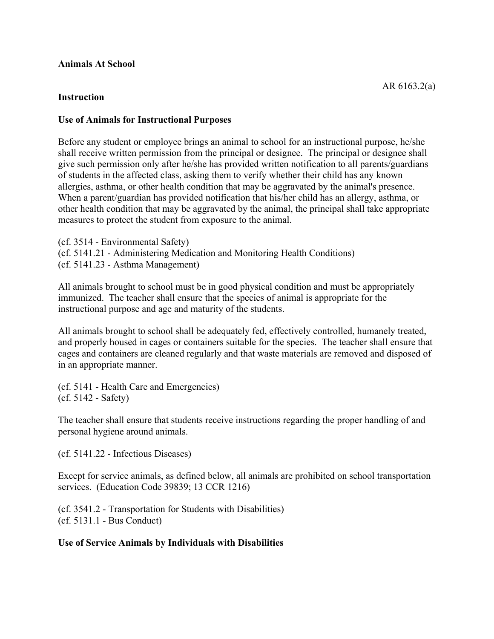## **Animals At School**

## **Instruction**

## **Use of Animals for Instructional Purposes**

Before any student or employee brings an animal to school for an instructional purpose, he/she shall receive written permission from the principal or designee. The principal or designee shall give such permission only after he/she has provided written notification to all parents/guardians of students in the affected class, asking them to verify whether their child has any known allergies, asthma, or other health condition that may be aggravated by the animal's presence. When a parent/guardian has provided notification that his/her child has an allergy, asthma, or other health condition that may be aggravated by the animal, the principal shall take appropriate measures to protect the student from exposure to the animal.

(cf. 3514 - Environmental Safety) (cf. 5141.21 - Administering Medication and Monitoring Health Conditions) (cf. 5141.23 - Asthma Management)

All animals brought to school must be in good physical condition and must be appropriately immunized. The teacher shall ensure that the species of animal is appropriate for the instructional purpose and age and maturity of the students.

All animals brought to school shall be adequately fed, effectively controlled, humanely treated, and properly housed in cages or containers suitable for the species. The teacher shall ensure that cages and containers are cleaned regularly and that waste materials are removed and disposed of in an appropriate manner.

(cf. 5141 - Health Care and Emergencies) (cf. 5142 - Safety)

The teacher shall ensure that students receive instructions regarding the proper handling of and personal hygiene around animals.

(cf. 5141.22 - Infectious Diseases)

Except for service animals, as defined below, all animals are prohibited on school transportation services. (Education Code 39839; 13 CCR 1216)

(cf. 3541.2 - Transportation for Students with Disabilities) (cf. 5131.1 - Bus Conduct)

## **Use of Service Animals by Individuals with Disabilities**